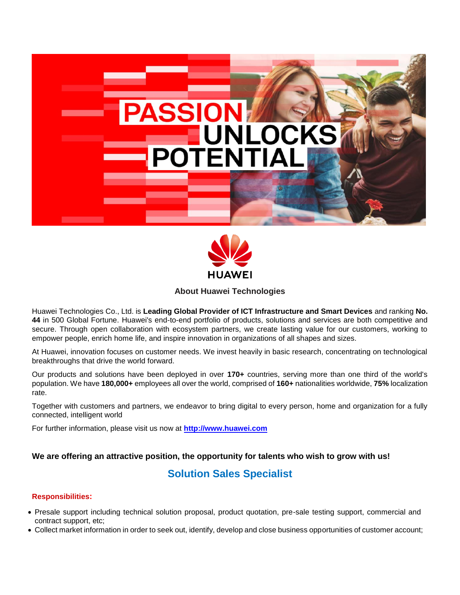



## **About Huawei Technologies**

Huawei Technologies Co., Ltd. is **Leading Global Provider of ICT Infrastructure and Smart Devices** and ranking **No. 44** in 500 Global Fortune. Huawei's end-to-end portfolio of products, solutions and services are both competitive and secure. Through open collaboration with ecosystem partners, we create lasting value for our customers, working to empower people, enrich home life, and inspire innovation in organizations of all shapes and sizes.

At Huawei, innovation focuses on customer needs. We invest heavily in basic research, concentrating on technological breakthroughs that drive the world forward.

Our products and solutions have been deployed in over **170+** countries, serving more than one third of the world's population. We have **180,000+** employees all over the world, comprised of **160+** nationalities worldwide, **75%** localization rate.

Together with customers and partners, we endeavor to bring digital to every person, home and organization for a fully connected, intelligent world

For further information, please visit us now at **[http://www.huawei.com](http://www.huawei.com/)**

# **We are offering an attractive position, the opportunity for talents who wish to grow with us!**

# **Solution Sales Specialist**

#### **Responsibilities:**

- Presale support including technical solution proposal, product quotation, pre-sale testing support, commercial and contract support, etc;
- Collect market information in order to seek out, identify, develop and close business opportunities of customer account;